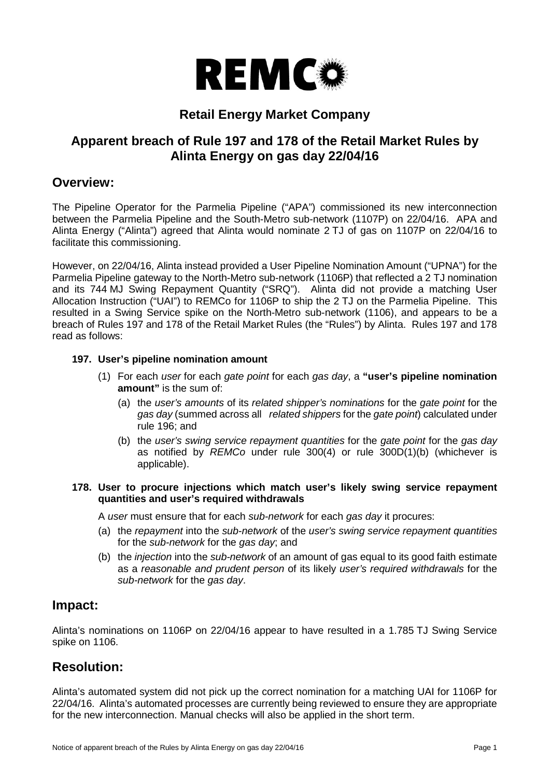

# **Retail Energy Market Company**

# **Apparent breach of Rule 197 and 178 of the Retail Market Rules by Alinta Energy on gas day 22/04/16**

## **Overview:**

The Pipeline Operator for the Parmelia Pipeline ("APA") commissioned its new interconnection between the Parmelia Pipeline and the South-Metro sub-network (1107P) on 22/04/16. APA and Alinta Energy ("Alinta") agreed that Alinta would nominate 2 TJ of gas on 1107P on 22/04/16 to facilitate this commissioning.

However, on 22/04/16, Alinta instead provided a User Pipeline Nomination Amount ("UPNA") for the Parmelia Pipeline gateway to the North-Metro sub-network (1106P) that reflected a 2 TJ nomination and its 744 MJ Swing Repayment Quantity ("SRQ"). Alinta did not provide a matching User Allocation Instruction ("UAI") to REMCo for 1106P to ship the 2 TJ on the Parmelia Pipeline. This resulted in a Swing Service spike on the North-Metro sub-network (1106), and appears to be a breach of Rules 197 and 178 of the Retail Market Rules (the "Rules") by Alinta. Rules 197 and 178 read as follows:

### **197. User's pipeline nomination amount**

- (1) For each *user* for each *gate point* for each *gas day*, a **"user's pipeline nomination amount"** is the sum of:
	- (a) the *user's amounts* of its *related shipper's nominations* for the *gate point* for the *gas day* (summed across all *related shippers* for the *gate point*) calculated under rule 196; and
	- (b) the *user's swing service repayment quantities* for the *gate point* for the *gas day*  as notified by *REMCo* under rule 300(4) or rule 300D(1)(b) (whichever is applicable).

#### **178. User to procure injections which match user's likely swing service repayment quantities and user's required withdrawals**

A *user* must ensure that for each *sub-network* for each *gas day* it procures:

- (a) the *repayment* into the *sub-network* of the *user's swing service repayment quantities*  for the *sub-network* for the *gas day*; and
- (b) the *injection* into the *sub-network* of an amount of gas equal to its good faith estimate as a *reasonable and prudent person* of its likely *user's required withdrawals* for the *sub-network* for the *gas day*.

### **Impact:**

Alinta's nominations on 1106P on 22/04/16 appear to have resulted in a 1.785 TJ Swing Service spike on 1106.

## **Resolution:**

Alinta's automated system did not pick up the correct nomination for a matching UAI for 1106P for 22/04/16. Alinta's automated processes are currently being reviewed to ensure they are appropriate for the new interconnection. Manual checks will also be applied in the short term.